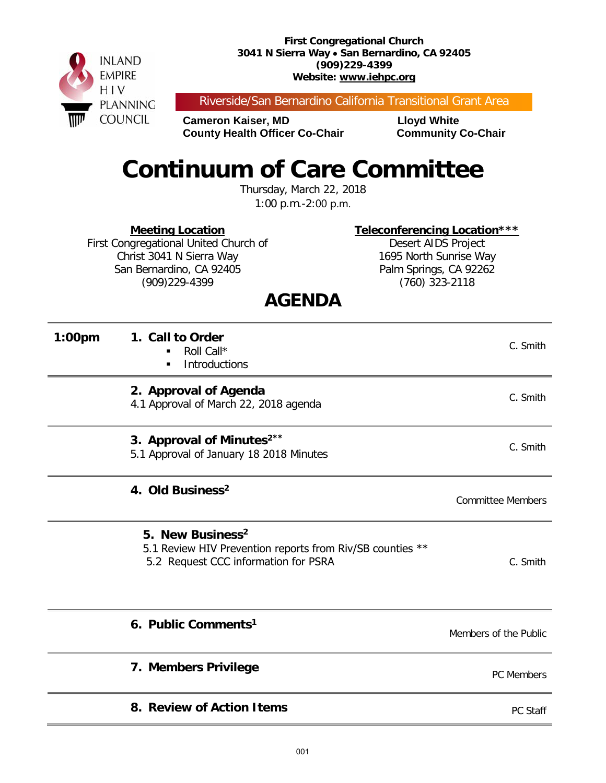**First Congregational Church 3041 N Sierra Way** • **San Bernardino, CA 92405 (909)229-4399 Website: www.iehpc.org**



Riverside/San Bernardino California Transitional Grant Area

**Cameron Kaiser, MD**<br> **County Health Officer Co-Chair Community Co-Chair County Health Officer Co-Chair** 

# **Continuum of Care Committee**

Thursday, March 22, 2018 1:00 p.m.-2:00 p.m.

**Meeting Location**

First Congregational United Church of Christ 3041 N Sierra Way San Bernardino, CA 92405 (909)229-4399

**Teleconferencing Location\*\*\*** Desert AIDS Project 1695 North Sunrise Way Palm Springs, CA 92262 (760) 323-2118

### **AGENDA**

| 1:00pm | 1. Call to Order<br>Roll Call*<br><b>Introductions</b><br>$\blacksquare$                                                          | C. Smith                 |
|--------|-----------------------------------------------------------------------------------------------------------------------------------|--------------------------|
|        | 2. Approval of Agenda<br>4.1 Approval of March 22, 2018 agenda                                                                    | C. Smith                 |
|        | 3. Approval of Minutes <sup>2**</sup><br>5.1 Approval of January 18 2018 Minutes                                                  | C. Smith                 |
|        | 4. Old Business <sup>2</sup>                                                                                                      | <b>Committee Members</b> |
|        | 5. New Business <sup>2</sup><br>5.1 Review HIV Prevention reports from Riv/SB counties **<br>5.2 Request CCC information for PSRA | C. Smith                 |
|        | 6. Public Comments <sup>1</sup>                                                                                                   | Members of the Public    |
|        | 7. Members Privilege                                                                                                              | PC Members               |
|        | 8. Review of Action Items                                                                                                         | PC Staff                 |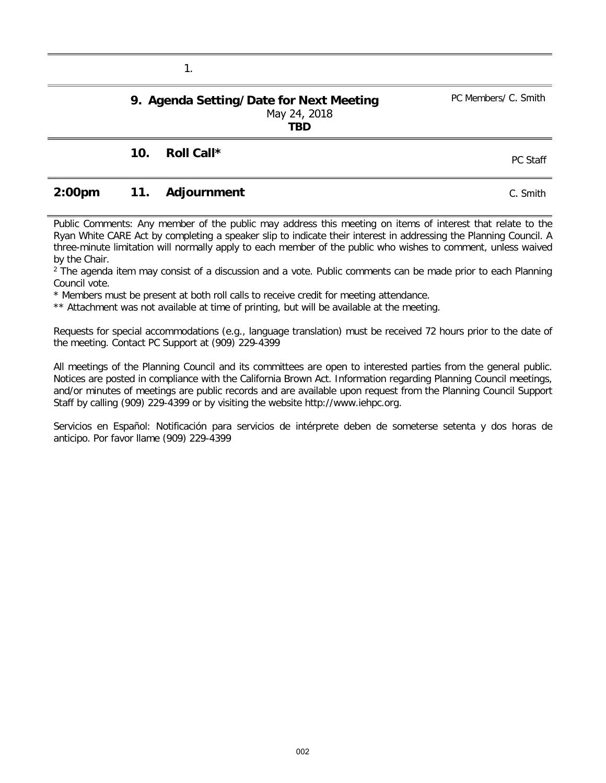#### **9. Agenda Setting/Date for Next Meeting** May 24, 2018 **TBD**

## **10. Roll Call \*** PC Staff

1.

#### **2:00pm 11. Adjournment** C. Smith

Public Comments: Any member of the public may address this meeting on items of interest that relate to the Ryan White CARE Act by completing a speaker slip to indicate their interest in addressing the Planning Council. A three-minute limitation will normally apply to each member of the public who wishes to comment, unless waived by the Chair.

<sup>2</sup> The agenda item may consist of a discussion and a vote. Public comments can be made prior to each Planning Council vote.

\* Members must be present at both roll calls to receive credit for meeting attendance.

\*\* Attachment was not available at time of printing, but will be available at the meeting.

Requests for special accommodations (e.g., language translation) must be received 72 hours prior to the date of the meeting. Contact PC Support at (909) 229-4399

All meetings of the Planning Council and its committees are open to interested parties from the general public. Notices are posted in compliance with the California Brown Act. Information regarding Planning Council meetings, and/or minutes of meetings are public records and are available upon request from the Planning Council Support Staff by calling (909) 229-4399 or by visiting the website http://www.iehpc.org.

Servicios en Español: Notificación para servicios de intérprete deben de someterse setenta y dos horas de anticipo. Por favor llame (909) 229-4399

PC Members/ C. Smith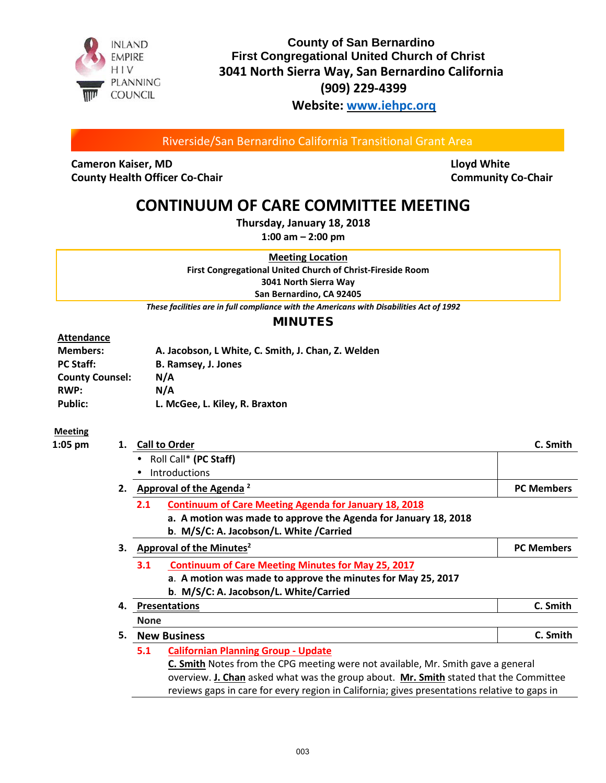

#### **County of San Bernardino First Congregational United Church of Christ 3041 North Sierra Way, San Bernardino California (909) 229-4399 Website: [www.iehpc.orq](http://www.iehpc.orq/)**

Riverside/San Bernardino California Transitional Grant Area

**Cameron Kaiser, MD Cameron Kaiser, MD Lloyd White County Health Officer Co-Chair Community Co-Chair Community Co-Chair** 

### **CONTINUUM OF CARE COMMITTEE MEETING**

**Thursday, January 18, 2018** 

**1:00 am – 2:00 pm**

**Meeting Location First Congregational United Church of Christ-Fireside Room 3041 North Sierra Way San Bernardino, CA 92405**

*These facilities are in full compliance with the Americans with Disabilities Act of 1992*

#### MINUTES

#### **Attendance**

| <b>Members:</b>        | A. Jacobson, L White, C. Smith, J. Chan, Z. Welden |
|------------------------|----------------------------------------------------|
| <b>PC Staff:</b>       | B. Ramsey, J. Jones                                |
| <b>County Counsel:</b> | N/A                                                |
| <b>RWP:</b>            | N/A                                                |
| Public:                | L. McGee, L. Kiley, R. Braxton                     |

#### **Meeting**

| 1:05 pm | 1. | <b>Call to Order</b>                                                                         | C. Smith          |
|---------|----|----------------------------------------------------------------------------------------------|-------------------|
|         |    | Roll Call* (PC Staff)                                                                        |                   |
|         |    | Introductions                                                                                |                   |
|         | 2. | Approval of the Agenda <sup>2</sup>                                                          | <b>PC Members</b> |
|         |    | 2.1<br><b>Continuum of Care Meeting Agenda for January 18, 2018</b>                          |                   |
|         |    | a. A motion was made to approve the Agenda for January 18, 2018                              |                   |
|         |    | b. M/S/C: A. Jacobson/L. White /Carried                                                      |                   |
|         | З. | Approval of the Minutes <sup>2</sup>                                                         | <b>PC Members</b> |
|         |    | <b>Continuum of Care Meeting Minutes for May 25, 2017</b><br>3.1                             |                   |
|         |    | a. A motion was made to approve the minutes for May 25, 2017                                 |                   |
|         |    | b. M/S/C: A. Jacobson/L. White/Carried                                                       |                   |
|         | 4. | <b>Presentations</b>                                                                         | C. Smith          |
|         |    | <b>None</b>                                                                                  |                   |
|         | 5. | <b>New Business</b>                                                                          | C. Smith          |
|         |    | 5.1<br><b>Californian Planning Group - Update</b>                                            |                   |
|         |    | C. Smith Notes from the CPG meeting were not available, Mr. Smith gave a general             |                   |
|         |    | overview. J. Chan asked what was the group about. Mr. Smith stated that the Committee        |                   |
|         |    | reviews gaps in care for every region in California; gives presentations relative to gaps in |                   |
|         |    |                                                                                              |                   |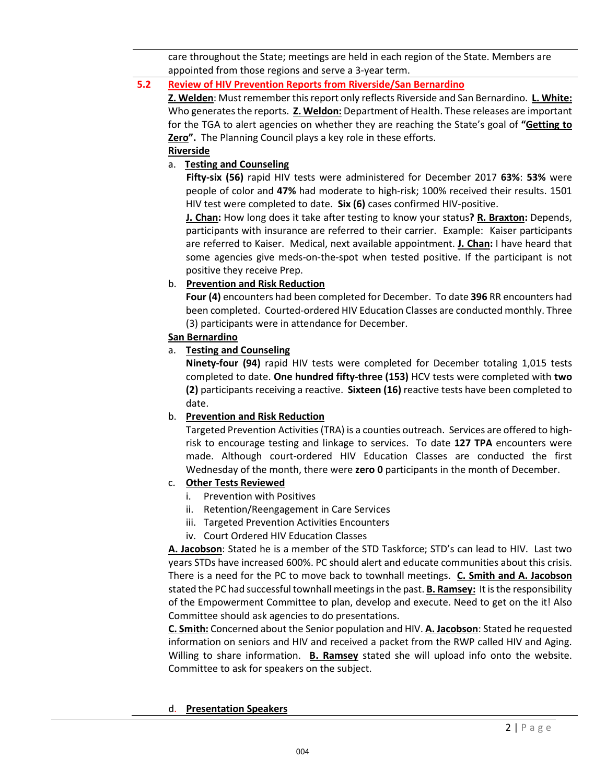care throughout the State; meetings are held in each region of the State. Members are appointed from those regions and serve a 3-year term.

#### **5.2 Review of HIV Prevention Reports from Riverside/San Bernardino**

**Z. Welden**: Must remember thisreport only reflects Riverside and San Bernardino. **L. White:** Who generates the reports. **Z. Weldon:** Department of Health. These releases are important for the TGA to alert agencies on whether they are reaching the State's goal of **"Getting to Zero".** The Planning Council plays a key role in these efforts.

#### **Riverside**

#### a. **Testing and Counseling**

**Fifty-six (56)** rapid HIV tests were administered for December 2017 **63%**: **53%** were people of color and **47%** had moderate to high-risk; 100% received their results. 1501 HIV test were completed to date. **Six (6)** cases confirmed HIV-positive.

**J. Chan:** How long does it take after testing to know your status**? R. Braxton:** Depends, participants with insurance are referred to their carrier. Example: Kaiser participants are referred to Kaiser. Medical, next available appointment. **J. Chan:** I have heard that some agencies give meds-on-the-spot when tested positive. If the participant is not positive they receive Prep.

#### b. **Prevention and Risk Reduction**

**Four (4)** encounters had been completed for December. To date **396** RR encounters had been completed. Courted-ordered HIV Education Classes are conducted monthly. Three (3) participants were in attendance for December.

#### **San Bernardino**

#### a. **Testing and Counseling**

**Ninety-four (94)** rapid HIV tests were completed for December totaling 1,015 tests completed to date. **One hundred fifty-three (153)** HCV tests were completed with **two (2)** participants receiving a reactive. **Sixteen (16)** reactive tests have been completed to date.

#### b. **Prevention and Risk Reduction**

Targeted Prevention Activities (TRA) is a counties outreach. Services are offered to highrisk to encourage testing and linkage to services. To date **127 TPA** encounters were made. Although court-ordered HIV Education Classes are conducted the first Wednesday of the month, there were **zero 0** participants in the month of December.

#### c. **Other Tests Reviewed**

- i. Prevention with Positives
- ii. Retention/Reengagement in Care Services
- iii. Targeted Prevention Activities Encounters
- iv. Court Ordered HIV Education Classes

**A. Jacobson**: Stated he is a member of the STD Taskforce; STD's can lead to HIV. Last two years STDs have increased 600%. PC should alert and educate communities about this crisis. There is a need for the PC to move back to townhall meetings. **C. Smith and A. Jacobson** stated the PC had successful townhall meetings in the past. **B. Ramsey:** It is the responsibility of the Empowerment Committee to plan, develop and execute. Need to get on the it! Also Committee should ask agencies to do presentations.

**C. Smith:** Concerned about the Senior population and HIV. **A. Jacobson**: Stated he requested information on seniors and HIV and received a packet from the RWP called HIV and Aging. Willing to share information. **B. Ramsey** stated she will upload info onto the website. Committee to ask for speakers on the subject.

#### d. **Presentation Speakers**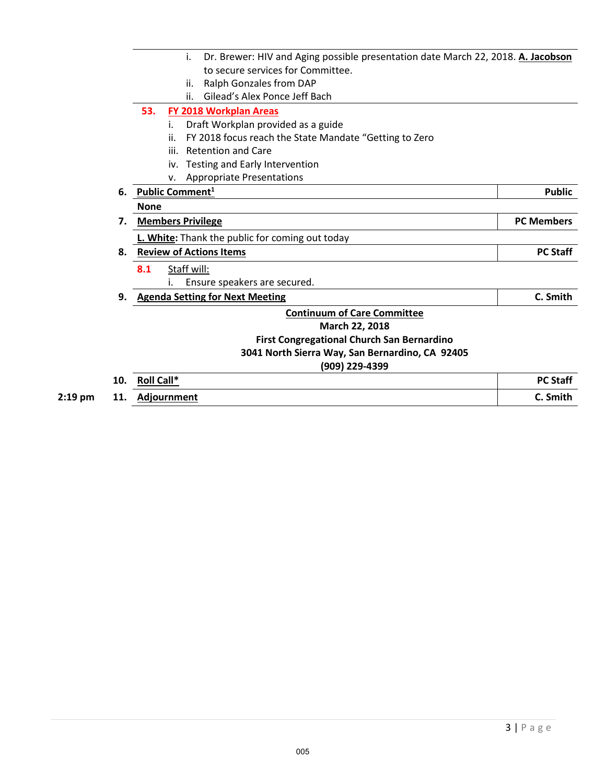|         |     | Dr. Brewer: HIV and Aging possible presentation date March 22, 2018. A. Jacobson<br>i. |                   |
|---------|-----|----------------------------------------------------------------------------------------|-------------------|
|         |     | to secure services for Committee.                                                      |                   |
|         |     | Ralph Gonzales from DAP<br>ii.                                                         |                   |
|         |     | Gilead's Alex Ponce Jeff Bach<br>ii.                                                   |                   |
|         |     | 53.<br>FY 2018 Workplan Areas                                                          |                   |
|         |     | Draft Workplan provided as a guide<br>i.                                               |                   |
|         |     | ii.<br>FY 2018 focus reach the State Mandate "Getting to Zero                          |                   |
|         |     | <b>Retention and Care</b><br>iii.                                                      |                   |
|         |     | Testing and Early Intervention<br>iv.                                                  |                   |
|         |     | <b>Appropriate Presentations</b><br>v.                                                 |                   |
|         | 6.  | <b>Public Comment</b> <sup>1</sup>                                                     | <b>Public</b>     |
|         |     | <b>None</b>                                                                            |                   |
|         | 7.  | <b>Members Privilege</b>                                                               | <b>PC Members</b> |
|         |     | L. White: Thank the public for coming out today                                        |                   |
|         | 8.  | <b>Review of Actions Items</b>                                                         | <b>PC Staff</b>   |
|         |     | 8.1<br>Staff will:                                                                     |                   |
|         |     | Ensure speakers are secured.                                                           |                   |
|         | 9.  | <b>Agenda Setting for Next Meeting</b>                                                 | C. Smith          |
|         |     | <b>Continuum of Care Committee</b>                                                     |                   |
|         |     | March 22, 2018                                                                         |                   |
|         |     | First Congregational Church San Bernardino                                             |                   |
|         |     | 3041 North Sierra Way, San Bernardino, CA 92405                                        |                   |
|         |     | (909) 229-4399                                                                         |                   |
|         | 10. | Roll Call*                                                                             | <b>PC Staff</b>   |
| 2:19 pm | 11. | Adjournment                                                                            | C. Smith          |
|         |     |                                                                                        |                   |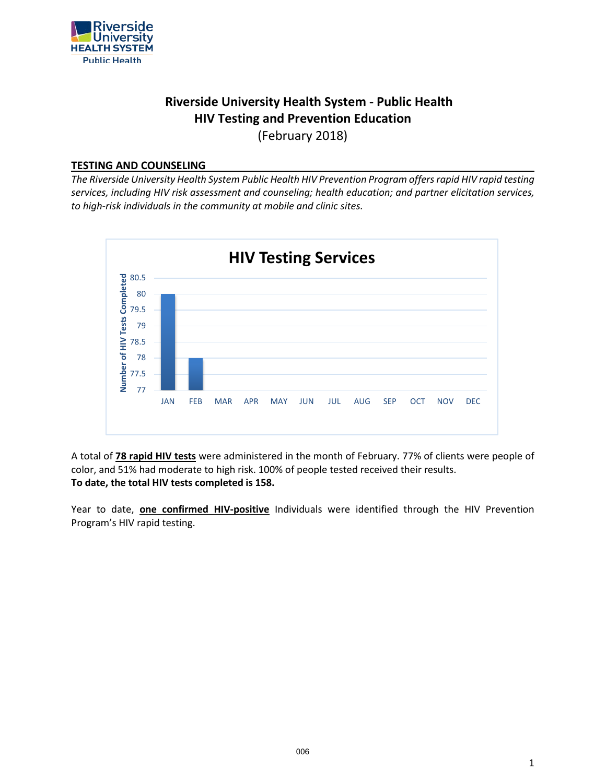

### **Riverside University Health System - Public Health HIV Testing and Prevention Education**

(February 2018)

#### **TESTING AND COUNSELING**

*The Riverside University Health System Public Health HIV Prevention Program offers rapid HIV rapid testing services, including HIV risk assessment and counseling; health education; and partner elicitation services, to high-risk individuals in the community at mobile and clinic sites.*



A total of **78 rapid HIV tests** were administered in the month of February. 77% of clients were people of color, and 51% had moderate to high risk. 100% of people tested received their results. **To date, the total HIV tests completed is 158.**

Year to date, **one confirmed HIV-positive** Individuals were identified through the HIV Prevention Program's HIV rapid testing.